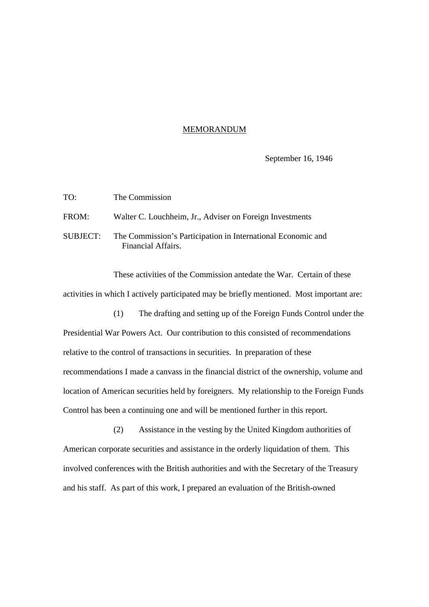## MEMORANDUM

September 16, 1946

| TO:   | The Commission                                                                              |
|-------|---------------------------------------------------------------------------------------------|
| FROM: | Walter C. Louchheim, Jr., Adviser on Foreign Investments                                    |
|       | SUBJECT: The Commission's Participation in International Economic and<br>Financial Affairs. |

These activities of the Commission antedate the War. Certain of these activities in which I actively participated may be briefly mentioned. Most important are:

(1) The drafting and setting up of the Foreign Funds Control under the Presidential War Powers Act. Our contribution to this consisted of recommendations relative to the control of transactions in securities. In preparation of these recommendations I made a canvass in the financial district of the ownership, volume and location of American securities held by foreigners. My relationship to the Foreign Funds Control has been a continuing one and will be mentioned further in this report.

(2) Assistance in the vesting by the United Kingdom authorities of American corporate securities and assistance in the orderly liquidation of them. This involved conferences with the British authorities and with the Secretary of the Treasury and his staff. As part of this work, I prepared an evaluation of the British-owned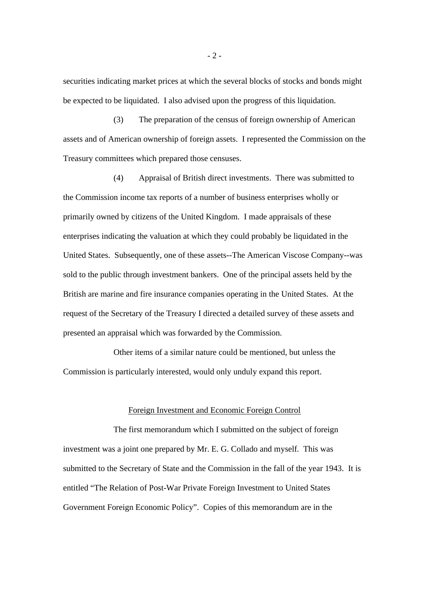securities indicating market prices at which the several blocks of stocks and bonds might be expected to be liquidated. I also advised upon the progress of this liquidation.

(3) The preparation of the census of foreign ownership of American assets and of American ownership of foreign assets. I represented the Commission on the Treasury committees which prepared those censuses.

(4) Appraisal of British direct investments. There was submitted to the Commission income tax reports of a number of business enterprises wholly or primarily owned by citizens of the United Kingdom. I made appraisals of these enterprises indicating the valuation at which they could probably be liquidated in the United States. Subsequently, one of these assets--The American Viscose Company--was sold to the public through investment bankers. One of the principal assets held by the British are marine and fire insurance companies operating in the United States. At the request of the Secretary of the Treasury I directed a detailed survey of these assets and presented an appraisal which was forwarded by the Commission.

Other items of a similar nature could be mentioned, but unless the Commission is particularly interested, would only unduly expand this report.

## Foreign Investment and Economic Foreign Control

The first memorandum which I submitted on the subject of foreign investment was a joint one prepared by Mr. E. G. Collado and myself. This was submitted to the Secretary of State and the Commission in the fall of the year 1943. It is entitled "The Relation of Post-War Private Foreign Investment to United States Government Foreign Economic Policy". Copies of this memorandum are in the

- 2 -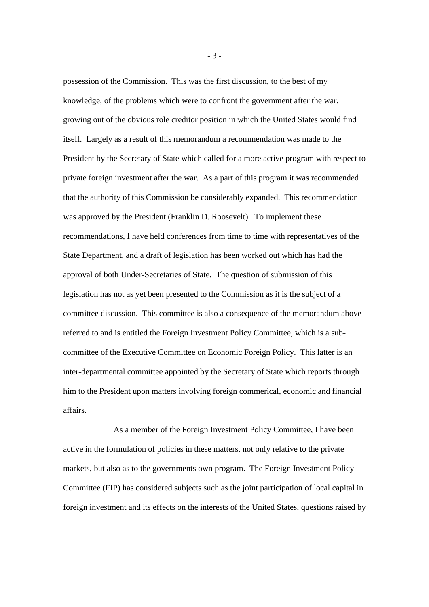possession of the Commission. This was the first discussion, to the best of my knowledge, of the problems which were to confront the government after the war, growing out of the obvious role creditor position in which the United States would find itself. Largely as a result of this memorandum a recommendation was made to the President by the Secretary of State which called for a more active program with respect to private foreign investment after the war. As a part of this program it was recommended that the authority of this Commission be considerably expanded. This recommendation was approved by the President (Franklin D. Roosevelt). To implement these recommendations, I have held conferences from time to time with representatives of the State Department, and a draft of legislation has been worked out which has had the approval of both Under-Secretaries of State. The question of submission of this legislation has not as yet been presented to the Commission as it is the subject of a committee discussion. This committee is also a consequence of the memorandum above referred to and is entitled the Foreign Investment Policy Committee, which is a subcommittee of the Executive Committee on Economic Foreign Policy. This latter is an inter-departmental committee appointed by the Secretary of State which reports through him to the President upon matters involving foreign commerical, economic and financial affairs.

As a member of the Foreign Investment Policy Committee, I have been active in the formulation of policies in these matters, not only relative to the private markets, but also as to the governments own program. The Foreign Investment Policy Committee (FIP) has considered subjects such as the joint participation of local capital in foreign investment and its effects on the interests of the United States, questions raised by

- 3 -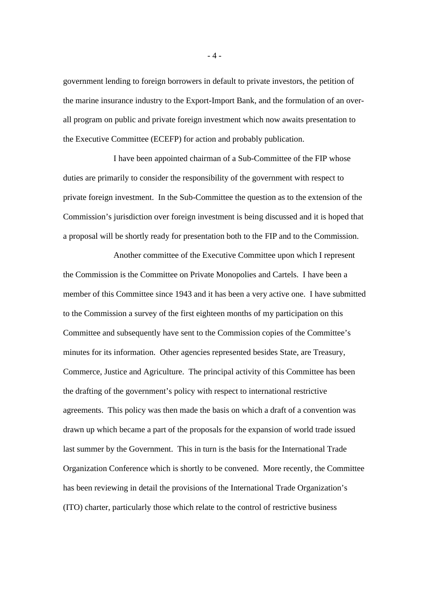government lending to foreign borrowers in default to private investors, the petition of the marine insurance industry to the Export-Import Bank, and the formulation of an overall program on public and private foreign investment which now awaits presentation to the Executive Committee (ECEFP) for action and probably publication.

I have been appointed chairman of a Sub-Committee of the FIP whose duties are primarily to consider the responsibility of the government with respect to private foreign investment. In the Sub-Committee the question as to the extension of the Commission's jurisdiction over foreign investment is being discussed and it is hoped that a proposal will be shortly ready for presentation both to the FIP and to the Commission.

Another committee of the Executive Committee upon which I represent the Commission is the Committee on Private Monopolies and Cartels. I have been a member of this Committee since 1943 and it has been a very active one. I have submitted to the Commission a survey of the first eighteen months of my participation on this Committee and subsequently have sent to the Commission copies of the Committee's minutes for its information. Other agencies represented besides State, are Treasury, Commerce, Justice and Agriculture. The principal activity of this Committee has been the drafting of the government's policy with respect to international restrictive agreements. This policy was then made the basis on which a draft of a convention was drawn up which became a part of the proposals for the expansion of world trade issued last summer by the Government. This in turn is the basis for the International Trade Organization Conference which is shortly to be convened. More recently, the Committee has been reviewing in detail the provisions of the International Trade Organization's (ITO) charter, particularly those which relate to the control of restrictive business

- 4 -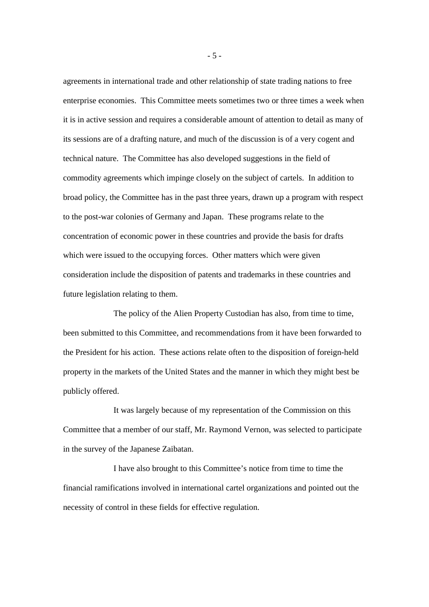agreements in international trade and other relationship of state trading nations to free enterprise economies. This Committee meets sometimes two or three times a week when it is in active session and requires a considerable amount of attention to detail as many of its sessions are of a drafting nature, and much of the discussion is of a very cogent and technical nature. The Committee has also developed suggestions in the field of commodity agreements which impinge closely on the subject of cartels. In addition to broad policy, the Committee has in the past three years, drawn up a program with respect to the post-war colonies of Germany and Japan. These programs relate to the concentration of economic power in these countries and provide the basis for drafts which were issued to the occupying forces. Other matters which were given consideration include the disposition of patents and trademarks in these countries and future legislation relating to them.

The policy of the Alien Property Custodian has also, from time to time, been submitted to this Committee, and recommendations from it have been forwarded to the President for his action. These actions relate often to the disposition of foreign-held property in the markets of the United States and the manner in which they might best be publicly offered.

It was largely because of my representation of the Commission on this Committee that a member of our staff, Mr. Raymond Vernon, was selected to participate in the survey of the Japanese Zaibatan.

I have also brought to this Committee's notice from time to time the financial ramifications involved in international cartel organizations and pointed out the necessity of control in these fields for effective regulation.

- 5 -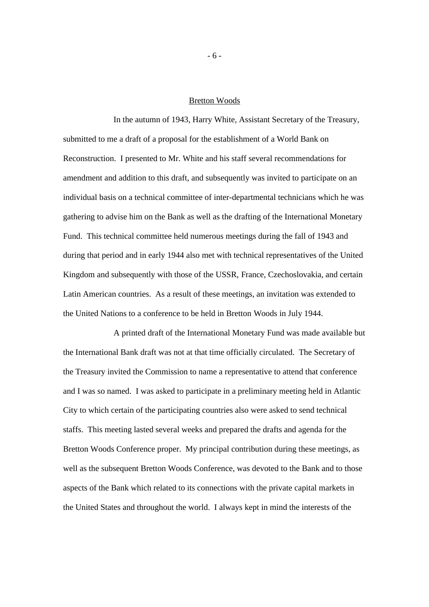## Bretton Woods

In the autumn of 1943, Harry White, Assistant Secretary of the Treasury, submitted to me a draft of a proposal for the establishment of a World Bank on Reconstruction. I presented to Mr. White and his staff several recommendations for amendment and addition to this draft, and subsequently was invited to participate on an individual basis on a technical committee of inter-departmental technicians which he was gathering to advise him on the Bank as well as the drafting of the International Monetary Fund. This technical committee held numerous meetings during the fall of 1943 and during that period and in early 1944 also met with technical representatives of the United Kingdom and subsequently with those of the USSR, France, Czechoslovakia, and certain Latin American countries. As a result of these meetings, an invitation was extended to the United Nations to a conference to be held in Bretton Woods in July 1944.

A printed draft of the International Monetary Fund was made available but the International Bank draft was not at that time officially circulated. The Secretary of the Treasury invited the Commission to name a representative to attend that conference and I was so named. I was asked to participate in a preliminary meeting held in Atlantic City to which certain of the participating countries also were asked to send technical staffs. This meeting lasted several weeks and prepared the drafts and agenda for the Bretton Woods Conference proper. My principal contribution during these meetings, as well as the subsequent Bretton Woods Conference, was devoted to the Bank and to those aspects of the Bank which related to its connections with the private capital markets in the United States and throughout the world. I always kept in mind the interests of the

- 6 -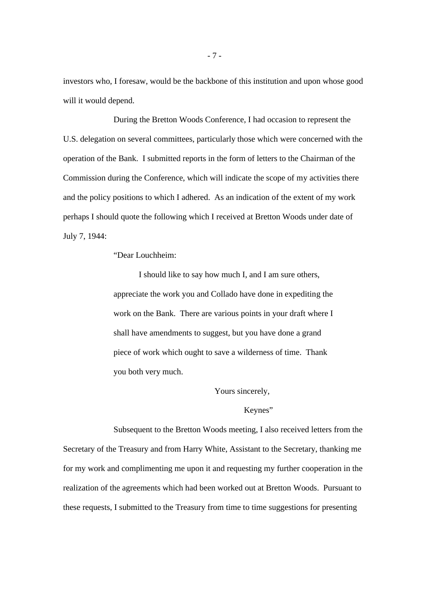investors who, I foresaw, would be the backbone of this institution and upon whose good will it would depend.

During the Bretton Woods Conference, I had occasion to represent the U.S. delegation on several committees, particularly those which were concerned with the operation of the Bank. I submitted reports in the form of letters to the Chairman of the Commission during the Conference, which will indicate the scope of my activities there and the policy positions to which I adhered. As an indication of the extent of my work perhaps I should quote the following which I received at Bretton Woods under date of July 7, 1944:

### "Dear Louchheim:

I should like to say how much I, and I am sure others, appreciate the work you and Collado have done in expediting the work on the Bank. There are various points in your draft where I shall have amendments to suggest, but you have done a grand piece of work which ought to save a wilderness of time. Thank you both very much.

## Yours sincerely,

### Keynes"

Subsequent to the Bretton Woods meeting, I also received letters from the Secretary of the Treasury and from Harry White, Assistant to the Secretary, thanking me for my work and complimenting me upon it and requesting my further cooperation in the realization of the agreements which had been worked out at Bretton Woods. Pursuant to these requests, I submitted to the Treasury from time to time suggestions for presenting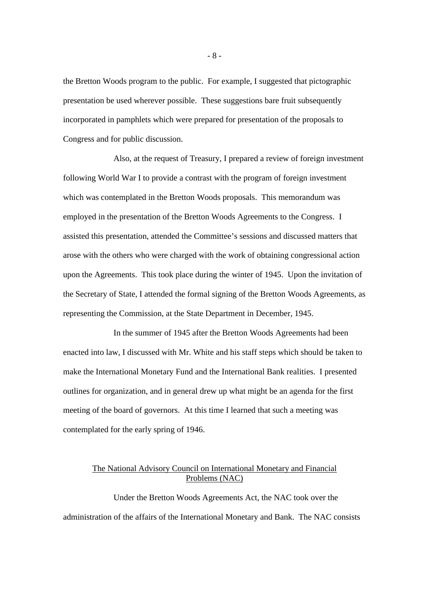the Bretton Woods program to the public. For example, I suggested that pictographic presentation be used wherever possible. These suggestions bare fruit subsequently incorporated in pamphlets which were prepared for presentation of the proposals to Congress and for public discussion.

Also, at the request of Treasury, I prepared a review of foreign investment following World War I to provide a contrast with the program of foreign investment which was contemplated in the Bretton Woods proposals. This memorandum was employed in the presentation of the Bretton Woods Agreements to the Congress. I assisted this presentation, attended the Committee's sessions and discussed matters that arose with the others who were charged with the work of obtaining congressional action upon the Agreements. This took place during the winter of 1945. Upon the invitation of the Secretary of State, I attended the formal signing of the Bretton Woods Agreements, as representing the Commission, at the State Department in December, 1945.

In the summer of 1945 after the Bretton Woods Agreements had been enacted into law, I discussed with Mr. White and his staff steps which should be taken to make the International Monetary Fund and the International Bank realities. I presented outlines for organization, and in general drew up what might be an agenda for the first meeting of the board of governors. At this time I learned that such a meeting was contemplated for the early spring of 1946.

# The National Advisory Council on International Monetary and Financial Problems (NAC)

Under the Bretton Woods Agreements Act, the NAC took over the administration of the affairs of the International Monetary and Bank. The NAC consists

- 8 -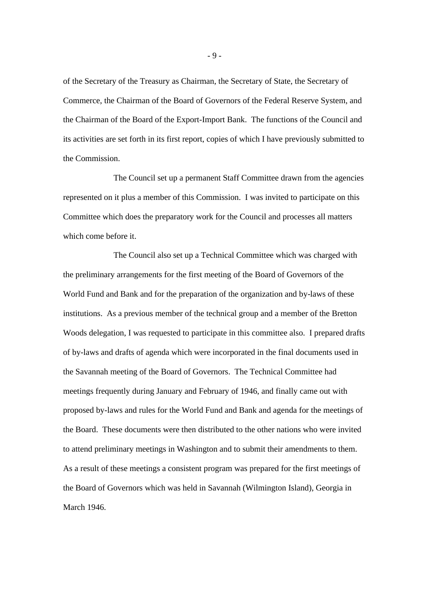of the Secretary of the Treasury as Chairman, the Secretary of State, the Secretary of Commerce, the Chairman of the Board of Governors of the Federal Reserve System, and the Chairman of the Board of the Export-Import Bank. The functions of the Council and its activities are set forth in its first report, copies of which I have previously submitted to the Commission.

The Council set up a permanent Staff Committee drawn from the agencies represented on it plus a member of this Commission. I was invited to participate on this Committee which does the preparatory work for the Council and processes all matters which come before it.

The Council also set up a Technical Committee which was charged with the preliminary arrangements for the first meeting of the Board of Governors of the World Fund and Bank and for the preparation of the organization and by-laws of these institutions. As a previous member of the technical group and a member of the Bretton Woods delegation, I was requested to participate in this committee also. I prepared drafts of by-laws and drafts of agenda which were incorporated in the final documents used in the Savannah meeting of the Board of Governors. The Technical Committee had meetings frequently during January and February of 1946, and finally came out with proposed by-laws and rules for the World Fund and Bank and agenda for the meetings of the Board. These documents were then distributed to the other nations who were invited to attend preliminary meetings in Washington and to submit their amendments to them. As a result of these meetings a consistent program was prepared for the first meetings of the Board of Governors which was held in Savannah (Wilmington Island), Georgia in March 1946.

- 9 -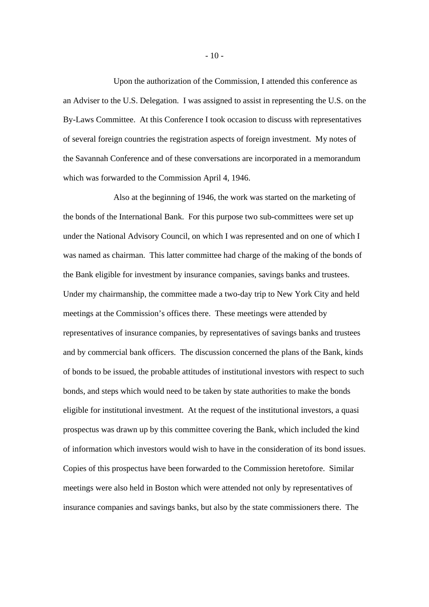Upon the authorization of the Commission, I attended this conference as an Adviser to the U.S. Delegation. I was assigned to assist in representing the U.S. on the By-Laws Committee. At this Conference I took occasion to discuss with representatives of several foreign countries the registration aspects of foreign investment. My notes of the Savannah Conference and of these conversations are incorporated in a memorandum which was forwarded to the Commission April 4, 1946.

Also at the beginning of 1946, the work was started on the marketing of the bonds of the International Bank. For this purpose two sub-committees were set up under the National Advisory Council, on which I was represented and on one of which I was named as chairman. This latter committee had charge of the making of the bonds of the Bank eligible for investment by insurance companies, savings banks and trustees. Under my chairmanship, the committee made a two-day trip to New York City and held meetings at the Commission's offices there. These meetings were attended by representatives of insurance companies, by representatives of savings banks and trustees and by commercial bank officers. The discussion concerned the plans of the Bank, kinds of bonds to be issued, the probable attitudes of institutional investors with respect to such bonds, and steps which would need to be taken by state authorities to make the bonds eligible for institutional investment. At the request of the institutional investors, a quasi prospectus was drawn up by this committee covering the Bank, which included the kind of information which investors would wish to have in the consideration of its bond issues. Copies of this prospectus have been forwarded to the Commission heretofore. Similar meetings were also held in Boston which were attended not only by representatives of insurance companies and savings banks, but also by the state commissioners there. The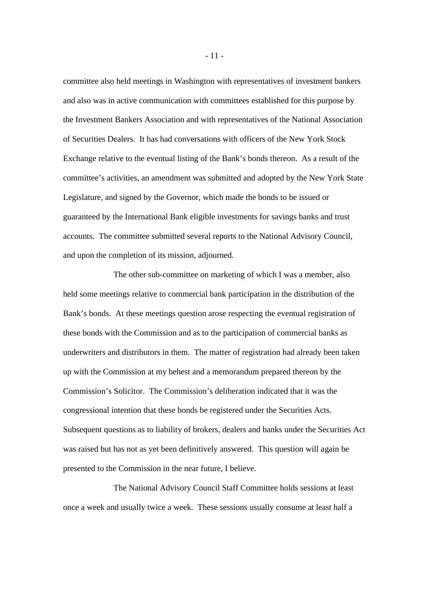committee also held meetings in Washington with representatives of investment bankers and also was in active communication with committees established for this purpose by the Investment Bankers Association and with representatives of the National Association of Securities Dealers. It has had conversations with officers of the New York Stock Exchange relative to the eventual listing of the Bank's bonds thereon. As a result of the committee's activities, an amendment was submitted and adopted by the New York State Legislature, and signed by the Governor, which made the bonds to be issued or guaranteed by the International Bank eligible investments for savings banks and trust accounts. The committee submitted several reports to the National Advisory Council, and upon the completion of its mission, adjourned.

The other sub-committee on marketing of which I was a member, also held some meetings relative to commercial bank participation in the distribution of the Bank's bonds. At these meetings question arose respecting the eventual registration of these bonds with the Commission and as to the participation of commercial banks as underwriters and distributors in them. The matter of registration had already been taken up with the Commission at my behest and a memorandum prepared thereon by the Commission's Solicitor. The Commission's deliberation indicated that it was the congressional intention that these bonds be registered under the Securities Acts. Subsequent questions as to liability of brokers, dealers and banks under the Securities Act was raised but has not as yet been definitively answered. This question will again be presented to the Commission in the near future, I believe.

The National Advisory Council Staff Committee holds sessions at least once a week and usually twice a week. These sessions usually consume at least half a

- 11 -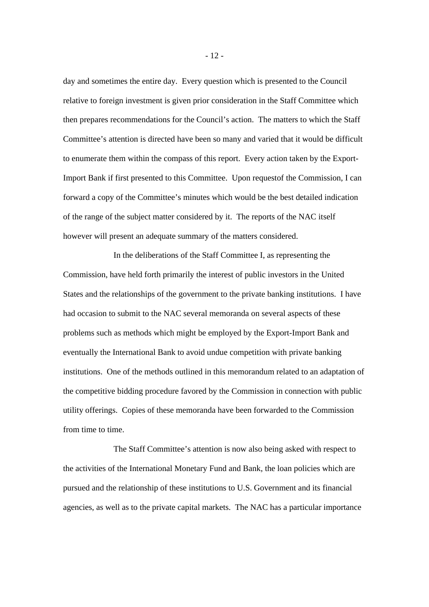day and sometimes the entire day. Every question which is presented to the Council relative to foreign investment is given prior consideration in the Staff Committee which then prepares recommendations for the Council's action. The matters to which the Staff Committee's attention is directed have been so many and varied that it would be difficult to enumerate them within the compass of this report. Every action taken by the Export-Import Bank if first presented to this Committee. Upon requestof the Commission, I can forward a copy of the Committee's minutes which would be the best detailed indication of the range of the subject matter considered by it. The reports of the NAC itself however will present an adequate summary of the matters considered.

In the deliberations of the Staff Committee I, as representing the Commission, have held forth primarily the interest of public investors in the United States and the relationships of the government to the private banking institutions. I have had occasion to submit to the NAC several memoranda on several aspects of these problems such as methods which might be employed by the Export-Import Bank and eventually the International Bank to avoid undue competition with private banking institutions. One of the methods outlined in this memorandum related to an adaptation of the competitive bidding procedure favored by the Commission in connection with public utility offerings. Copies of these memoranda have been forwarded to the Commission from time to time.

The Staff Committee's attention is now also being asked with respect to the activities of the International Monetary Fund and Bank, the loan policies which are pursued and the relationship of these institutions to U.S. Government and its financial agencies, as well as to the private capital markets. The NAC has a particular importance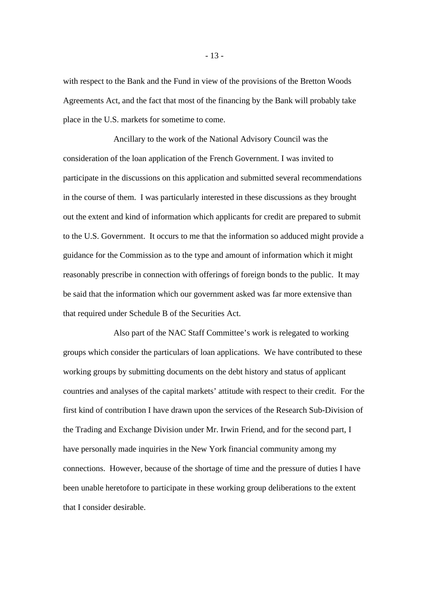with respect to the Bank and the Fund in view of the provisions of the Bretton Woods Agreements Act, and the fact that most of the financing by the Bank will probably take place in the U.S. markets for sometime to come.

Ancillary to the work of the National Advisory Council was the consideration of the loan application of the French Government. I was invited to participate in the discussions on this application and submitted several recommendations in the course of them. I was particularly interested in these discussions as they brought out the extent and kind of information which applicants for credit are prepared to submit to the U.S. Government. It occurs to me that the information so adduced might provide a guidance for the Commission as to the type and amount of information which it might reasonably prescribe in connection with offerings of foreign bonds to the public. It may be said that the information which our government asked was far more extensive than that required under Schedule B of the Securities Act.

Also part of the NAC Staff Committee's work is relegated to working groups which consider the particulars of loan applications. We have contributed to these working groups by submitting documents on the debt history and status of applicant countries and analyses of the capital markets' attitude with respect to their credit. For the first kind of contribution I have drawn upon the services of the Research Sub-Division of the Trading and Exchange Division under Mr. Irwin Friend, and for the second part, I have personally made inquiries in the New York financial community among my connections. However, because of the shortage of time and the pressure of duties I have been unable heretofore to participate in these working group deliberations to the extent that I consider desirable.

- 13 -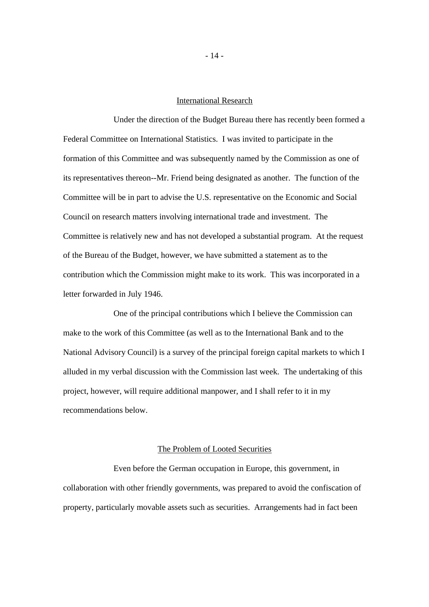## International Research

Under the direction of the Budget Bureau there has recently been formed a Federal Committee on International Statistics. I was invited to participate in the formation of this Committee and was subsequently named by the Commission as one of its representatives thereon--Mr. Friend being designated as another. The function of the Committee will be in part to advise the U.S. representative on the Economic and Social Council on research matters involving international trade and investment. The Committee is relatively new and has not developed a substantial program. At the request of the Bureau of the Budget, however, we have submitted a statement as to the contribution which the Commission might make to its work. This was incorporated in a letter forwarded in July 1946.

One of the principal contributions which I believe the Commission can make to the work of this Committee (as well as to the International Bank and to the National Advisory Council) is a survey of the principal foreign capital markets to which I alluded in my verbal discussion with the Commission last week. The undertaking of this project, however, will require additional manpower, and I shall refer to it in my recommendations below.

### The Problem of Looted Securities

Even before the German occupation in Europe, this government, in collaboration with other friendly governments, was prepared to avoid the confiscation of property, particularly movable assets such as securities. Arrangements had in fact been

- 14 -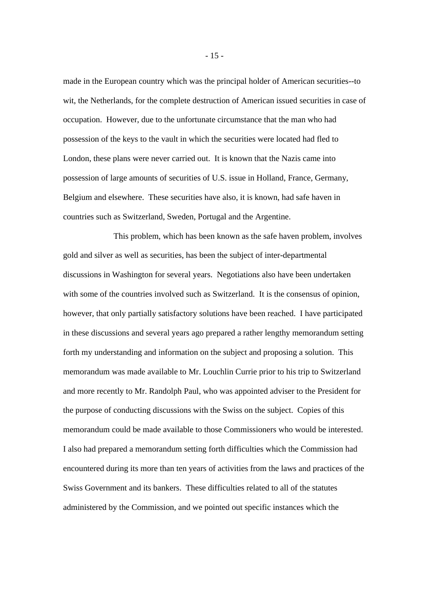made in the European country which was the principal holder of American securities--to wit, the Netherlands, for the complete destruction of American issued securities in case of occupation. However, due to the unfortunate circumstance that the man who had possession of the keys to the vault in which the securities were located had fled to London, these plans were never carried out. It is known that the Nazis came into possession of large amounts of securities of U.S. issue in Holland, France, Germany, Belgium and elsewhere. These securities have also, it is known, had safe haven in countries such as Switzerland, Sweden, Portugal and the Argentine.

This problem, which has been known as the safe haven problem, involves gold and silver as well as securities, has been the subject of inter-departmental discussions in Washington for several years. Negotiations also have been undertaken with some of the countries involved such as Switzerland. It is the consensus of opinion, however, that only partially satisfactory solutions have been reached. I have participated in these discussions and several years ago prepared a rather lengthy memorandum setting forth my understanding and information on the subject and proposing a solution. This memorandum was made available to Mr. Louchlin Currie prior to his trip to Switzerland and more recently to Mr. Randolph Paul, who was appointed adviser to the President for the purpose of conducting discussions with the Swiss on the subject. Copies of this memorandum could be made available to those Commissioners who would be interested. I also had prepared a memorandum setting forth difficulties which the Commission had encountered during its more than ten years of activities from the laws and practices of the Swiss Government and its bankers. These difficulties related to all of the statutes administered by the Commission, and we pointed out specific instances which the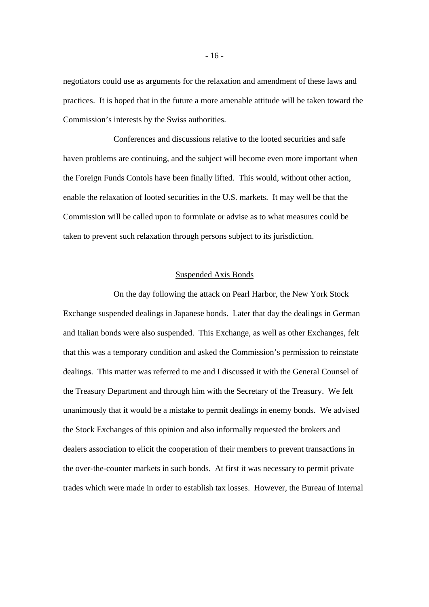negotiators could use as arguments for the relaxation and amendment of these laws and practices. It is hoped that in the future a more amenable attitude will be taken toward the Commission's interests by the Swiss authorities.

Conferences and discussions relative to the looted securities and safe haven problems are continuing, and the subject will become even more important when the Foreign Funds Contols have been finally lifted. This would, without other action, enable the relaxation of looted securities in the U.S. markets. It may well be that the Commission will be called upon to formulate or advise as to what measures could be taken to prevent such relaxation through persons subject to its jurisdiction.

### Suspended Axis Bonds

On the day following the attack on Pearl Harbor, the New York Stock Exchange suspended dealings in Japanese bonds. Later that day the dealings in German and Italian bonds were also suspended. This Exchange, as well as other Exchanges, felt that this was a temporary condition and asked the Commission's permission to reinstate dealings. This matter was referred to me and I discussed it with the General Counsel of the Treasury Department and through him with the Secretary of the Treasury. We felt unanimously that it would be a mistake to permit dealings in enemy bonds. We advised the Stock Exchanges of this opinion and also informally requested the brokers and dealers association to elicit the cooperation of their members to prevent transactions in the over-the-counter markets in such bonds. At first it was necessary to permit private trades which were made in order to establish tax losses. However, the Bureau of Internal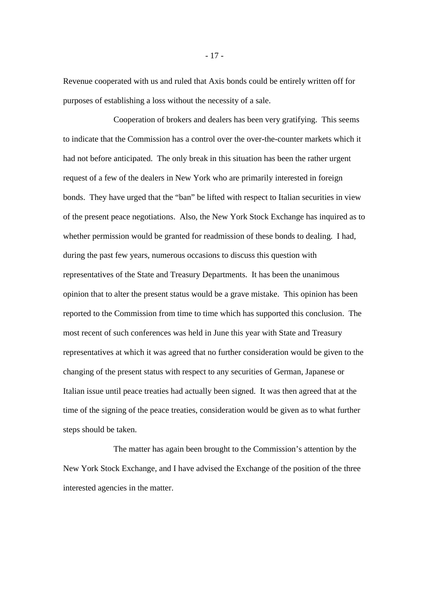Revenue cooperated with us and ruled that Axis bonds could be entirely written off for purposes of establishing a loss without the necessity of a sale.

Cooperation of brokers and dealers has been very gratifying. This seems to indicate that the Commission has a control over the over-the-counter markets which it had not before anticipated. The only break in this situation has been the rather urgent request of a few of the dealers in New York who are primarily interested in foreign bonds. They have urged that the "ban" be lifted with respect to Italian securities in view of the present peace negotiations. Also, the New York Stock Exchange has inquired as to whether permission would be granted for readmission of these bonds to dealing. I had, during the past few years, numerous occasions to discuss this question with representatives of the State and Treasury Departments. It has been the unanimous opinion that to alter the present status would be a grave mistake. This opinion has been reported to the Commission from time to time which has supported this conclusion. The most recent of such conferences was held in June this year with State and Treasury representatives at which it was agreed that no further consideration would be given to the changing of the present status with respect to any securities of German, Japanese or Italian issue until peace treaties had actually been signed. It was then agreed that at the time of the signing of the peace treaties, consideration would be given as to what further steps should be taken.

The matter has again been brought to the Commission's attention by the New York Stock Exchange, and I have advised the Exchange of the position of the three interested agencies in the matter.

- 17 -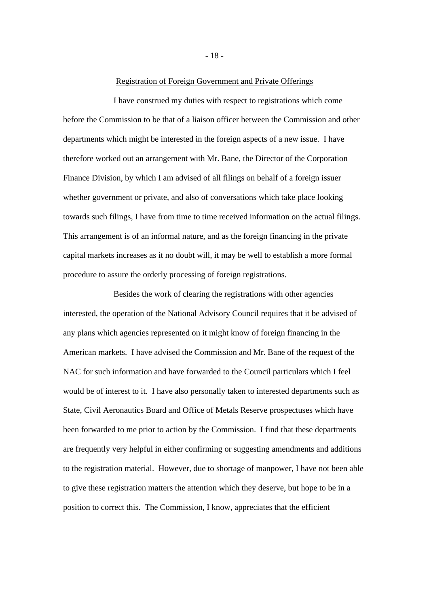#### Registration of Foreign Government and Private Offerings

I have construed my duties with respect to registrations which come before the Commission to be that of a liaison officer between the Commission and other departments which might be interested in the foreign aspects of a new issue. I have therefore worked out an arrangement with Mr. Bane, the Director of the Corporation Finance Division, by which I am advised of all filings on behalf of a foreign issuer whether government or private, and also of conversations which take place looking towards such filings, I have from time to time received information on the actual filings. This arrangement is of an informal nature, and as the foreign financing in the private capital markets increases as it no doubt will, it may be well to establish a more formal procedure to assure the orderly processing of foreign registrations.

Besides the work of clearing the registrations with other agencies interested, the operation of the National Advisory Council requires that it be advised of any plans which agencies represented on it might know of foreign financing in the American markets. I have advised the Commission and Mr. Bane of the request of the NAC for such information and have forwarded to the Council particulars which I feel would be of interest to it. I have also personally taken to interested departments such as State, Civil Aeronautics Board and Office of Metals Reserve prospectuses which have been forwarded to me prior to action by the Commission. I find that these departments are frequently very helpful in either confirming or suggesting amendments and additions to the registration material. However, due to shortage of manpower, I have not been able to give these registration matters the attention which they deserve, but hope to be in a position to correct this. The Commission, I know, appreciates that the efficient

- 18 -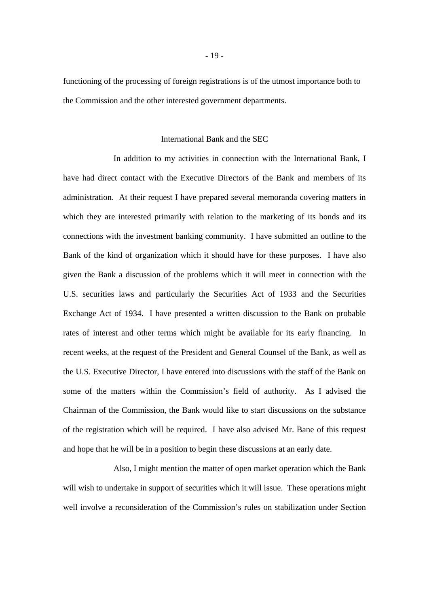functioning of the processing of foreign registrations is of the utmost importance both to the Commission and the other interested government departments.

### International Bank and the SEC

In addition to my activities in connection with the International Bank, I have had direct contact with the Executive Directors of the Bank and members of its administration. At their request I have prepared several memoranda covering matters in which they are interested primarily with relation to the marketing of its bonds and its connections with the investment banking community. I have submitted an outline to the Bank of the kind of organization which it should have for these purposes. I have also given the Bank a discussion of the problems which it will meet in connection with the U.S. securities laws and particularly the Securities Act of 1933 and the Securities Exchange Act of 1934. I have presented a written discussion to the Bank on probable rates of interest and other terms which might be available for its early financing. In recent weeks, at the request of the President and General Counsel of the Bank, as well as the U.S. Executive Director, I have entered into discussions with the staff of the Bank on some of the matters within the Commission's field of authority. As I advised the Chairman of the Commission, the Bank would like to start discussions on the substance of the registration which will be required. I have also advised Mr. Bane of this request and hope that he will be in a position to begin these discussions at an early date.

Also, I might mention the matter of open market operation which the Bank will wish to undertake in support of securities which it will issue. These operations might well involve a reconsideration of the Commission's rules on stabilization under Section